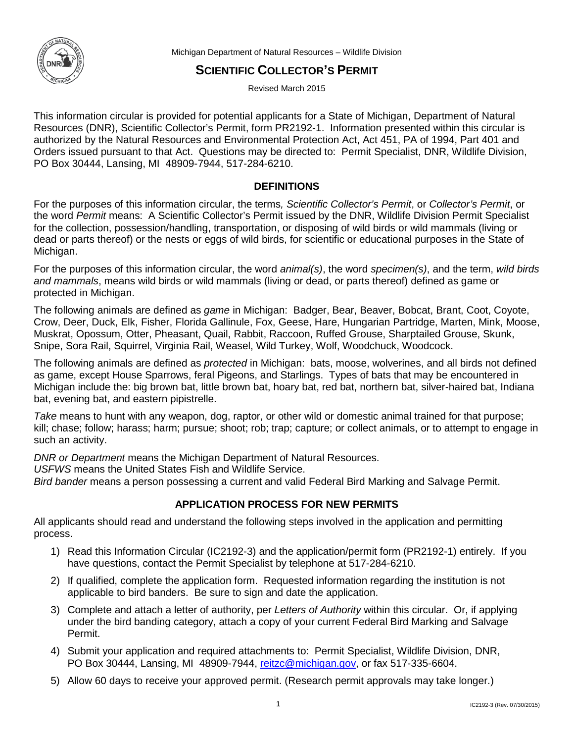

Michigan Department of Natural Resources – Wildlife Division

# **SCIENTIFIC COLLECTOR'S PERMIT**

Revised March 2015

This information circular is provided for potential applicants for a State of Michigan, Department of Natural Resources (DNR), Scientific Collector's Permit, form PR2192-1. Information presented within this circular is authorized by the Natural Resources and Environmental Protection Act, Act 451, PA of 1994, Part 401 and Orders issued pursuant to that Act. Questions may be directed to: Permit Specialist, DNR, Wildlife Division, PO Box 30444, Lansing, MI 48909-7944, 517-284-6210.

# **DEFINITIONS**

For the purposes of this information circular, the terms*, Scientific Collector's Permit*, or *Collector's Permit*, or the word *Permit* means: A Scientific Collector's Permit issued by the DNR, Wildlife Division Permit Specialist for the collection, possession/handling, transportation, or disposing of wild birds or wild mammals (living or dead or parts thereof) or the nests or eggs of wild birds, for scientific or educational purposes in the State of Michigan.

For the purposes of this information circular, the word *animal(s)*, the word *specimen(s)*, and the term, *wild birds and mammals*, means wild birds or wild mammals (living or dead, or parts thereof) defined as game or protected in Michigan.

The following animals are defined as *game* in Michigan: Badger, Bear, Beaver, Bobcat, Brant, Coot, Coyote, Crow, Deer, Duck, Elk, Fisher, Florida Gallinule, Fox, Geese, Hare, Hungarian Partridge, Marten, Mink, Moose, Muskrat, Opossum, Otter, Pheasant, Quail, Rabbit, Raccoon, Ruffed Grouse, Sharptailed Grouse, Skunk, Snipe, Sora Rail, Squirrel, Virginia Rail, Weasel, Wild Turkey, Wolf, Woodchuck, Woodcock.

The following animals are defined as *protected* in Michigan: bats, moose, wolverines, and all birds not defined as game, except House Sparrows, feral Pigeons, and Starlings. Types of bats that may be encountered in Michigan include the: big brown bat, little brown bat, hoary bat, red bat, northern bat, silver-haired bat, Indiana bat, evening bat, and eastern pipistrelle.

*Take* means to hunt with any weapon, dog, raptor, or other wild or domestic animal trained for that purpose; kill; chase; follow; harass; harm; pursue; shoot; rob; trap; capture; or collect animals, or to attempt to engage in such an activity.

*DNR or Department* means the Michigan Department of Natural Resources.

*USFWS* means the United States Fish and Wildlife Service.

*Bird bander* means a person possessing a current and valid Federal Bird Marking and Salvage Permit.

# **APPLICATION PROCESS FOR NEW PERMITS**

All applicants should read and understand the following steps involved in the application and permitting process.

- 1) Read this Information Circular (IC2192-3) and the application/permit form (PR2192-1) entirely. If you have questions, contact the Permit Specialist by telephone at 517-284-6210.
- 2) If qualified, complete the application form. Requested information regarding the institution is not applicable to bird banders. Be sure to sign and date the application.
- 3) Complete and attach a letter of authority, per *Letters of Authority* within this circular. Or, if applying under the bird banding category, attach a copy of your current Federal Bird Marking and Salvage Permit.
- 4) Submit your application and required attachments to: Permit Specialist, Wildlife Division, DNR, PO Box 30444, Lansing, MI 48909-7944, [reitzc@michigan.gov,](mailto:reitzc@michigan.gov) or fax 517-335-6604.
- 5) Allow 60 days to receive your approved permit. (Research permit approvals may take longer.)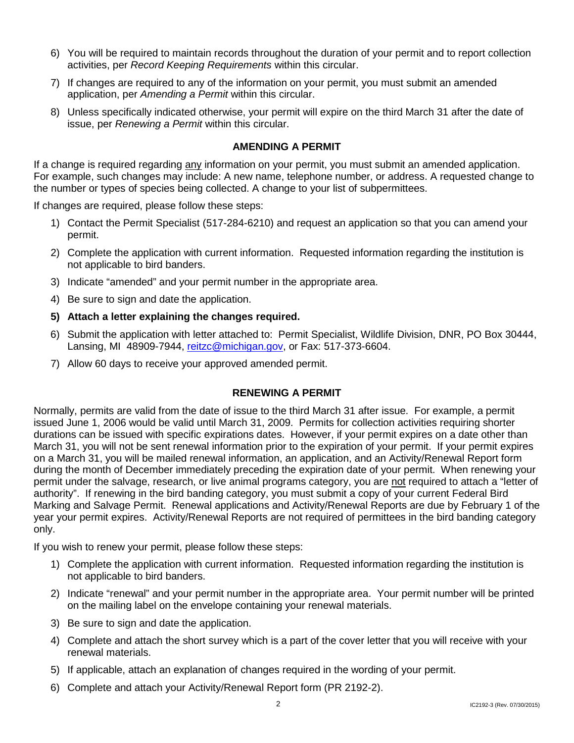- 6) You will be required to maintain records throughout the duration of your permit and to report collection activities, per *Record Keeping Requirements* within this circular.
- 7) If changes are required to any of the information on your permit, you must submit an amended application, per *Amending a Permit* within this circular.
- 8) Unless specifically indicated otherwise, your permit will expire on the third March 31 after the date of issue, per *Renewing a Permit* within this circular.

# **AMENDING A PERMIT**

If a change is required regarding any information on your permit, you must submit an amended application. For example, such changes may include: A new name, telephone number, or address. A requested change to the number or types of species being collected. A change to your list of subpermittees.

If changes are required, please follow these steps:

- 1) Contact the Permit Specialist (517-284-6210) and request an application so that you can amend your permit.
- 2) Complete the application with current information. Requested information regarding the institution is not applicable to bird banders.
- 3) Indicate "amended" and your permit number in the appropriate area.
- 4) Be sure to sign and date the application.
- **5) Attach a letter explaining the changes required.**
- 6) Submit the application with letter attached to: Permit Specialist, Wildlife Division, DNR, PO Box 30444, Lansing, MI 48909-7944, [reitzc@michigan.gov,](mailto:reitzc@michigan.gov) or Fax: 517-373-6604.
- 7) Allow 60 days to receive your approved amended permit.

# **RENEWING A PERMIT**

Normally, permits are valid from the date of issue to the third March 31 after issue. For example, a permit issued June 1, 2006 would be valid until March 31, 2009. Permits for collection activities requiring shorter durations can be issued with specific expirations dates. However, if your permit expires on a date other than March 31, you will not be sent renewal information prior to the expiration of your permit. If your permit expires on a March 31, you will be mailed renewal information, an application, and an Activity/Renewal Report form during the month of December immediately preceding the expiration date of your permit. When renewing your permit under the salvage, research, or live animal programs category, you are not required to attach a "letter of authority". If renewing in the bird banding category, you must submit a copy of your current Federal Bird Marking and Salvage Permit. Renewal applications and Activity/Renewal Reports are due by February 1 of the year your permit expires. Activity/Renewal Reports are not required of permittees in the bird banding category only.

If you wish to renew your permit, please follow these steps:

- 1) Complete the application with current information. Requested information regarding the institution is not applicable to bird banders.
- 2) Indicate "renewal" and your permit number in the appropriate area. Your permit number will be printed on the mailing label on the envelope containing your renewal materials.
- 3) Be sure to sign and date the application.
- 4) Complete and attach the short survey which is a part of the cover letter that you will receive with your renewal materials.
- 5) If applicable, attach an explanation of changes required in the wording of your permit.
- 6) Complete and attach your Activity/Renewal Report form (PR 2192-2).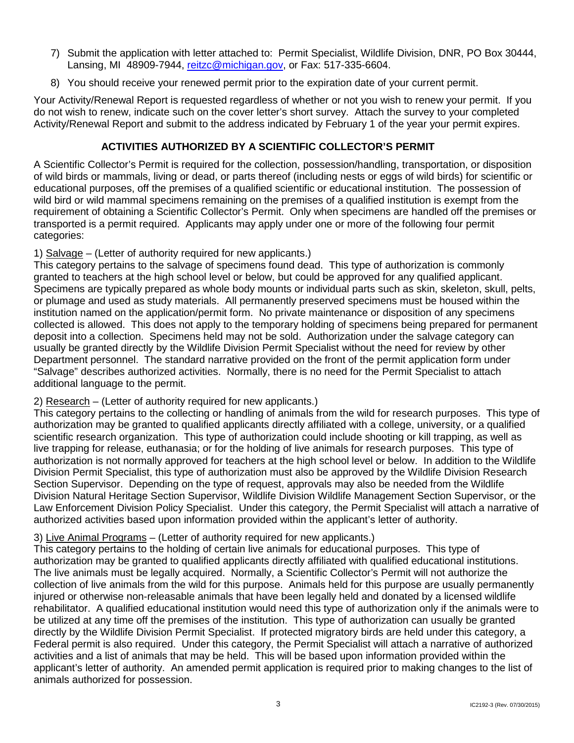- 7) Submit the application with letter attached to: Permit Specialist, Wildlife Division, DNR, PO Box 30444, Lansing, MI 48909-7944, [reitzc@michigan.gov,](mailto:reitzc@michigan.gov) or Fax: 517-335-6604.
- 8) You should receive your renewed permit prior to the expiration date of your current permit.

Your Activity/Renewal Report is requested regardless of whether or not you wish to renew your permit. If you do not wish to renew, indicate such on the cover letter's short survey. Attach the survey to your completed Activity/Renewal Report and submit to the address indicated by February 1 of the year your permit expires.

# **ACTIVITIES AUTHORIZED BY A SCIENTIFIC COLLECTOR'S PERMIT**

A Scientific Collector's Permit is required for the collection, possession/handling, transportation, or disposition of wild birds or mammals, living or dead, or parts thereof (including nests or eggs of wild birds) for scientific or educational purposes, off the premises of a qualified scientific or educational institution. The possession of wild bird or wild mammal specimens remaining on the premises of a qualified institution is exempt from the requirement of obtaining a Scientific Collector's Permit. Only when specimens are handled off the premises or transported is a permit required. Applicants may apply under one or more of the following four permit categories:

# 1) Salvage – (Letter of authority required for new applicants.)

This category pertains to the salvage of specimens found dead. This type of authorization is commonly granted to teachers at the high school level or below, but could be approved for any qualified applicant. Specimens are typically prepared as whole body mounts or individual parts such as skin, skeleton, skull, pelts, or plumage and used as study materials. All permanently preserved specimens must be housed within the institution named on the application/permit form. No private maintenance or disposition of any specimens collected is allowed. This does not apply to the temporary holding of specimens being prepared for permanent deposit into a collection. Specimens held may not be sold. Authorization under the salvage category can usually be granted directly by the Wildlife Division Permit Specialist without the need for review by other Department personnel. The standard narrative provided on the front of the permit application form under "Salvage" describes authorized activities. Normally, there is no need for the Permit Specialist to attach additional language to the permit.

# 2) Research – (Letter of authority required for new applicants.)

This category pertains to the collecting or handling of animals from the wild for research purposes. This type of authorization may be granted to qualified applicants directly affiliated with a college, university, or a qualified scientific research organization. This type of authorization could include shooting or kill trapping, as well as live trapping for release, euthanasia; or for the holding of live animals for research purposes. This type of authorization is not normally approved for teachers at the high school level or below. In addition to the Wildlife Division Permit Specialist, this type of authorization must also be approved by the Wildlife Division Research Section Supervisor. Depending on the type of request, approvals may also be needed from the Wildlife Division Natural Heritage Section Supervisor, Wildlife Division Wildlife Management Section Supervisor, or the Law Enforcement Division Policy Specialist. Under this category, the Permit Specialist will attach a narrative of authorized activities based upon information provided within the applicant's letter of authority.

# 3) Live Animal Programs – (Letter of authority required for new applicants.)

This category pertains to the holding of certain live animals for educational purposes. This type of authorization may be granted to qualified applicants directly affiliated with qualified educational institutions. The live animals must be legally acquired. Normally, a Scientific Collector's Permit will not authorize the collection of live animals from the wild for this purpose. Animals held for this purpose are usually permanently injured or otherwise non-releasable animals that have been legally held and donated by a licensed wildlife rehabilitator. A qualified educational institution would need this type of authorization only if the animals were to be utilized at any time off the premises of the institution. This type of authorization can usually be granted directly by the Wildlife Division Permit Specialist. If protected migratory birds are held under this category, a Federal permit is also required. Under this category, the Permit Specialist will attach a narrative of authorized activities and a list of animals that may be held. This will be based upon information provided within the applicant's letter of authority. An amended permit application is required prior to making changes to the list of animals authorized for possession.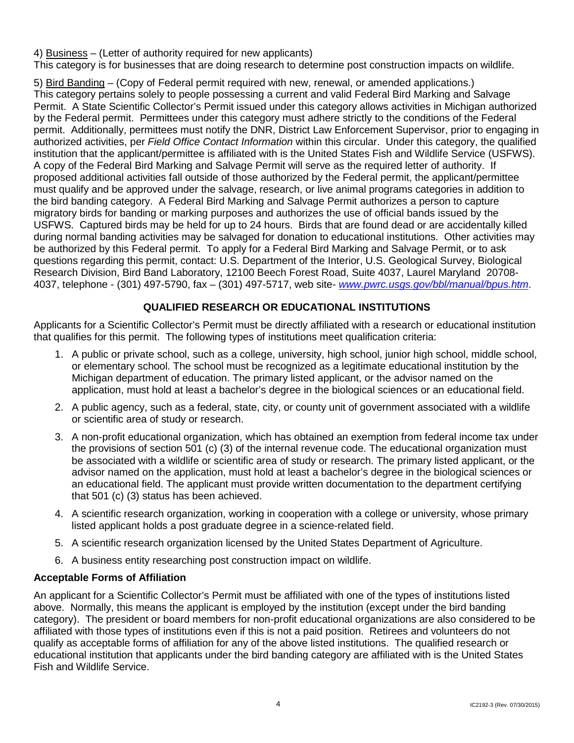4) Business – (Letter of authority required for new applicants)

This category is for businesses that are doing research to determine post construction impacts on wildlife.

5) Bird Banding – (Copy of Federal permit required with new, renewal, or amended applications.) This category pertains solely to people possessing a current and valid Federal Bird Marking and Salvage Permit. A State Scientific Collector's Permit issued under this category allows activities in Michigan authorized by the Federal permit. Permittees under this category must adhere strictly to the conditions of the Federal permit. Additionally, permittees must notify the DNR, District Law Enforcement Supervisor, prior to engaging in authorized activities, per *Field Office Contact Information* within this circular. Under this category, the qualified institution that the applicant/permittee is affiliated with is the United States Fish and Wildlife Service (USFWS). A copy of the Federal Bird Marking and Salvage Permit will serve as the required letter of authority. If proposed additional activities fall outside of those authorized by the Federal permit, the applicant/permittee must qualify and be approved under the salvage, research, or live animal programs categories in addition to the bird banding category. A Federal Bird Marking and Salvage Permit authorizes a person to capture migratory birds for banding or marking purposes and authorizes the use of official bands issued by the USFWS. Captured birds may be held for up to 24 hours. Birds that are found dead or are accidentally killed during normal banding activities may be salvaged for donation to educational institutions. Other activities may be authorized by this Federal permit. To apply for a Federal Bird Marking and Salvage Permit, or to ask questions regarding this permit, contact: U.S. Department of the Interior, U.S. Geological Survey, Biological Research Division, Bird Band Laboratory, 12100 Beech Forest Road, Suite 4037, Laurel Maryland 20708- 4037, telephone - (301) 497-5790, fax – (301) 497-5717, web site- *[www.pwrc.usgs.gov/bbl/manual/bpus.htm](http://www.pwrc.usgs.gov/bbl/manual/bpus.htm)*.

# **QUALIFIED RESEARCH OR EDUCATIONAL INSTITUTIONS**

Applicants for a Scientific Collector's Permit must be directly affiliated with a research or educational institution that qualifies for this permit. The following types of institutions meet qualification criteria:

- 1. A public or private school, such as a college, university, high school, junior high school, middle school, or elementary school. The school must be recognized as a legitimate educational institution by the Michigan department of education. The primary listed applicant, or the advisor named on the application, must hold at least a bachelor's degree in the biological sciences or an educational field.
- 2. A public agency, such as a federal, state, city, or county unit of government associated with a wildlife or scientific area of study or research.
- 3. A non-profit educational organization, which has obtained an exemption from federal income tax under the provisions of section 501 (c) (3) of the internal revenue code. The educational organization must be associated with a wildlife or scientific area of study or research. The primary listed applicant, or the advisor named on the application, must hold at least a bachelor's degree in the biological sciences or an educational field. The applicant must provide written documentation to the department certifying that 501 (c) (3) status has been achieved.
- 4. A scientific research organization, working in cooperation with a college or university, whose primary listed applicant holds a post graduate degree in a science-related field.
- 5. A scientific research organization licensed by the United States Department of Agriculture.
- 6. A business entity researching post construction impact on wildlife.

# **Acceptable Forms of Affiliation**

An applicant for a Scientific Collector's Permit must be affiliated with one of the types of institutions listed above. Normally, this means the applicant is employed by the institution (except under the bird banding category). The president or board members for non-profit educational organizations are also considered to be affiliated with those types of institutions even if this is not a paid position. Retirees and volunteers do not qualify as acceptable forms of affiliation for any of the above listed institutions. The qualified research or educational institution that applicants under the bird banding category are affiliated with is the United States Fish and Wildlife Service.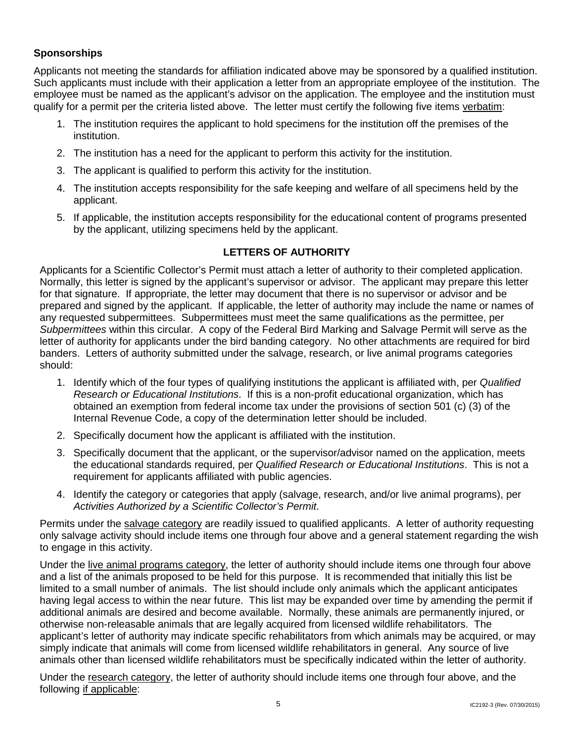# **Sponsorships**

Applicants not meeting the standards for affiliation indicated above may be sponsored by a qualified institution. Such applicants must include with their application a letter from an appropriate employee of the institution. The employee must be named as the applicant's advisor on the application. The employee and the institution must qualify for a permit per the criteria listed above. The letter must certify the following five items verbatim:

- 1. The institution requires the applicant to hold specimens for the institution off the premises of the institution.
- 2. The institution has a need for the applicant to perform this activity for the institution.
- 3. The applicant is qualified to perform this activity for the institution.
- 4. The institution accepts responsibility for the safe keeping and welfare of all specimens held by the applicant.
- 5. If applicable, the institution accepts responsibility for the educational content of programs presented by the applicant, utilizing specimens held by the applicant.

# **LETTERS OF AUTHORITY**

Applicants for a Scientific Collector's Permit must attach a letter of authority to their completed application. Normally, this letter is signed by the applicant's supervisor or advisor. The applicant may prepare this letter for that signature. If appropriate, the letter may document that there is no supervisor or advisor and be prepared and signed by the applicant. If applicable, the letter of authority may include the name or names of any requested subpermittees. Subpermittees must meet the same qualifications as the permittee, per *Subpermittees* within this circular. A copy of the Federal Bird Marking and Salvage Permit will serve as the letter of authority for applicants under the bird banding category. No other attachments are required for bird banders. Letters of authority submitted under the salvage, research, or live animal programs categories should:

- 1. Identify which of the four types of qualifying institutions the applicant is affiliated with, per *Qualified Research or Educational Institutions*. If this is a non-profit educational organization, which has obtained an exemption from federal income tax under the provisions of section 501 (c) (3) of the Internal Revenue Code, a copy of the determination letter should be included.
- 2. Specifically document how the applicant is affiliated with the institution.
- 3. Specifically document that the applicant, or the supervisor/advisor named on the application, meets the educational standards required, per *Qualified Research or Educational Institutions*. This is not a requirement for applicants affiliated with public agencies.
- 4. Identify the category or categories that apply (salvage, research, and/or live animal programs), per *Activities Authorized by a Scientific Collector's Permit*.

Permits under the salvage category are readily issued to qualified applicants. A letter of authority requesting only salvage activity should include items one through four above and a general statement regarding the wish to engage in this activity.

Under the live animal programs category, the letter of authority should include items one through four above and a list of the animals proposed to be held for this purpose. It is recommended that initially this list be limited to a small number of animals. The list should include only animals which the applicant anticipates having legal access to within the near future. This list may be expanded over time by amending the permit if additional animals are desired and become available. Normally, these animals are permanently injured, or otherwise non-releasable animals that are legally acquired from licensed wildlife rehabilitators. The applicant's letter of authority may indicate specific rehabilitators from which animals may be acquired, or may simply indicate that animals will come from licensed wildlife rehabilitators in general. Any source of live animals other than licensed wildlife rehabilitators must be specifically indicated within the letter of authority.

Under the research category, the letter of authority should include items one through four above, and the following if applicable: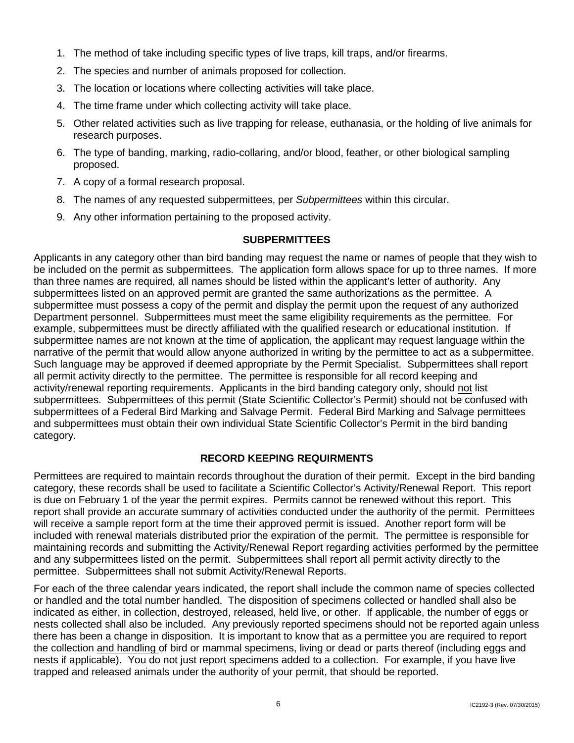- 1. The method of take including specific types of live traps, kill traps, and/or firearms.
- 2. The species and number of animals proposed for collection.
- 3. The location or locations where collecting activities will take place.
- 4. The time frame under which collecting activity will take place.
- 5. Other related activities such as live trapping for release, euthanasia, or the holding of live animals for research purposes.
- 6. The type of banding, marking, radio-collaring, and/or blood, feather, or other biological sampling proposed.
- 7. A copy of a formal research proposal.
- 8. The names of any requested subpermittees, per *Subpermittees* within this circular.
- 9. Any other information pertaining to the proposed activity.

#### **SUBPERMITTEES**

Applicants in any category other than bird banding may request the name or names of people that they wish to be included on the permit as subpermittees. The application form allows space for up to three names. If more than three names are required, all names should be listed within the applicant's letter of authority. Any subpermittees listed on an approved permit are granted the same authorizations as the permittee. A subpermittee must possess a copy of the permit and display the permit upon the request of any authorized Department personnel. Subpermittees must meet the same eligibility requirements as the permittee. For example, subpermittees must be directly affiliated with the qualified research or educational institution. If subpermittee names are not known at the time of application, the applicant may request language within the narrative of the permit that would allow anyone authorized in writing by the permittee to act as a subpermittee. Such language may be approved if deemed appropriate by the Permit Specialist. Subpermittees shall report all permit activity directly to the permittee. The permittee is responsible for all record keeping and activity/renewal reporting requirements. Applicants in the bird banding category only, should not list subpermittees. Subpermittees of this permit (State Scientific Collector's Permit) should not be confused with subpermittees of a Federal Bird Marking and Salvage Permit. Federal Bird Marking and Salvage permittees and subpermittees must obtain their own individual State Scientific Collector's Permit in the bird banding category.

# **RECORD KEEPING REQUIRMENTS**

Permittees are required to maintain records throughout the duration of their permit. Except in the bird banding category, these records shall be used to facilitate a Scientific Collector's Activity/Renewal Report. This report is due on February 1 of the year the permit expires. Permits cannot be renewed without this report. This report shall provide an accurate summary of activities conducted under the authority of the permit. Permittees will receive a sample report form at the time their approved permit is issued. Another report form will be included with renewal materials distributed prior the expiration of the permit. The permittee is responsible for maintaining records and submitting the Activity/Renewal Report regarding activities performed by the permittee and any subpermittees listed on the permit. Subpermittees shall report all permit activity directly to the permittee. Subpermittees shall not submit Activity/Renewal Reports.

For each of the three calendar years indicated, the report shall include the common name of species collected or handled and the total number handled. The disposition of specimens collected or handled shall also be indicated as either, in collection, destroyed, released, held live, or other. If applicable, the number of eggs or nests collected shall also be included. Any previously reported specimens should not be reported again unless there has been a change in disposition. It is important to know that as a permittee you are required to report the collection and handling of bird or mammal specimens, living or dead or parts thereof (including eggs and nests if applicable). You do not just report specimens added to a collection. For example, if you have live trapped and released animals under the authority of your permit, that should be reported.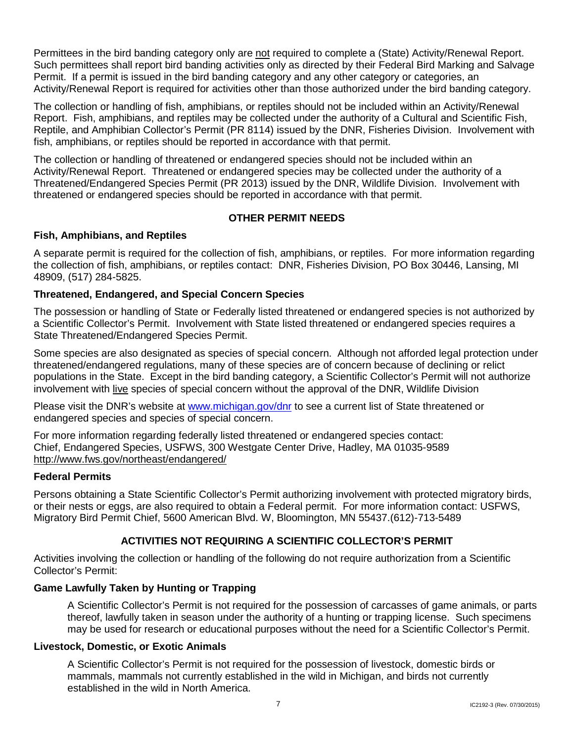Permittees in the bird banding category only are not required to complete a (State) Activity/Renewal Report. Such permittees shall report bird banding activities only as directed by their Federal Bird Marking and Salvage Permit. If a permit is issued in the bird banding category and any other category or categories, an Activity/Renewal Report is required for activities other than those authorized under the bird banding category.

The collection or handling of fish, amphibians, or reptiles should not be included within an Activity/Renewal Report. Fish, amphibians, and reptiles may be collected under the authority of a Cultural and Scientific Fish, Reptile, and Amphibian Collector's Permit (PR 8114) issued by the DNR, Fisheries Division. Involvement with fish, amphibians, or reptiles should be reported in accordance with that permit.

The collection or handling of threatened or endangered species should not be included within an Activity/Renewal Report. Threatened or endangered species may be collected under the authority of a Threatened/Endangered Species Permit (PR 2013) issued by the DNR, Wildlife Division. Involvement with threatened or endangered species should be reported in accordance with that permit.

# **OTHER PERMIT NEEDS**

# **Fish, Amphibians, and Reptiles**

A separate permit is required for the collection of fish, amphibians, or reptiles. For more information regarding the collection of fish, amphibians, or reptiles contact: DNR, Fisheries Division, PO Box 30446, Lansing, MI 48909, (517) 284-5825.

# **Threatened, Endangered, and Special Concern Species**

The possession or handling of State or Federally listed threatened or endangered species is not authorized by a Scientific Collector's Permit. Involvement with State listed threatened or endangered species requires a State Threatened/Endangered Species Permit.

Some species are also designated as species of special concern. Although not afforded legal protection under threatened/endangered regulations, many of these species are of concern because of declining or relict populations in the State. Except in the bird banding category, a Scientific Collector's Permit will not authorize involvement with live species of special concern without the approval of the DNR, Wildlife Division

Please visit the DNR's website at [www.michigan.gov/dnr](http://www.michigan.gov/dnr) to see a current list of State threatened or endangered species and species of special concern.

For more information regarding federally listed threatened or endangered species contact: Chief, Endangered Species, USFWS, 300 Westgate Center Drive, Hadley, MA 01035-9589 http://www.fws.gov/northeast/endangered/

# **Federal Permits**

Persons obtaining a State Scientific Collector's Permit authorizing involvement with protected migratory birds, or their nests or eggs, are also required to obtain a Federal permit. For more information contact: USFWS, Migratory Bird Permit Chief, 5600 American Blvd. W, Bloomington, MN 55437.(612)-713-5489

# **ACTIVITIES NOT REQUIRING A SCIENTIFIC COLLECTOR'S PERMIT**

Activities involving the collection or handling of the following do not require authorization from a Scientific Collector's Permit:

# **Game Lawfully Taken by Hunting or Trapping**

A Scientific Collector's Permit is not required for the possession of carcasses of game animals, or parts thereof, lawfully taken in season under the authority of a hunting or trapping license. Such specimens may be used for research or educational purposes without the need for a Scientific Collector's Permit.

#### **Livestock, Domestic, or Exotic Animals**

A Scientific Collector's Permit is not required for the possession of livestock, domestic birds or mammals, mammals not currently established in the wild in Michigan, and birds not currently established in the wild in North America.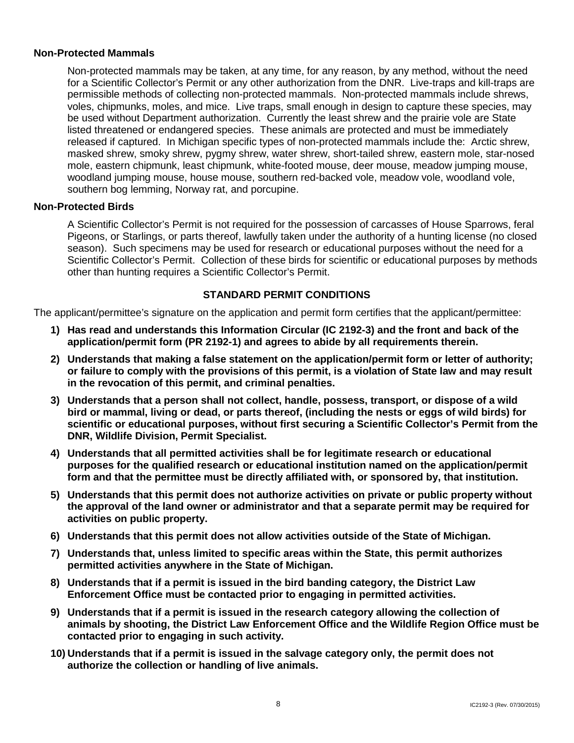#### **Non-Protected Mammals**

Non-protected mammals may be taken, at any time, for any reason, by any method, without the need for a Scientific Collector's Permit or any other authorization from the DNR. Live-traps and kill-traps are permissible methods of collecting non-protected mammals. Non-protected mammals include shrews, voles, chipmunks, moles, and mice. Live traps, small enough in design to capture these species, may be used without Department authorization. Currently the least shrew and the prairie vole are State listed threatened or endangered species. These animals are protected and must be immediately released if captured. In Michigan specific types of non-protected mammals include the: Arctic shrew, masked shrew, smoky shrew, pygmy shrew, water shrew, short-tailed shrew, eastern mole, star-nosed mole, eastern chipmunk, least chipmunk, white-footed mouse, deer mouse, meadow jumping mouse, woodland jumping mouse, house mouse, southern red-backed vole, meadow vole, woodland vole, southern bog lemming, Norway rat, and porcupine.

# **Non-Protected Birds**

A Scientific Collector's Permit is not required for the possession of carcasses of House Sparrows, feral Pigeons, or Starlings, or parts thereof, lawfully taken under the authority of a hunting license (no closed season). Such specimens may be used for research or educational purposes without the need for a Scientific Collector's Permit. Collection of these birds for scientific or educational purposes by methods other than hunting requires a Scientific Collector's Permit.

#### **STANDARD PERMIT CONDITIONS**

The applicant/permittee's signature on the application and permit form certifies that the applicant/permittee:

- **1) Has read and understands this Information Circular (IC 2192-3) and the front and back of the application/permit form (PR 2192-1) and agrees to abide by all requirements therein.**
- **2) Understands that making a false statement on the application/permit form or letter of authority; or failure to comply with the provisions of this permit, is a violation of State law and may result in the revocation of this permit, and criminal penalties.**
- **3) Understands that a person shall not collect, handle, possess, transport, or dispose of a wild bird or mammal, living or dead, or parts thereof, (including the nests or eggs of wild birds) for scientific or educational purposes, without first securing a Scientific Collector's Permit from the DNR, Wildlife Division, Permit Specialist.**
- **4) Understands that all permitted activities shall be for legitimate research or educational purposes for the qualified research or educational institution named on the application/permit form and that the permittee must be directly affiliated with, or sponsored by, that institution.**
- **5) Understands that this permit does not authorize activities on private or public property without the approval of the land owner or administrator and that a separate permit may be required for activities on public property.**
- **6) Understands that this permit does not allow activities outside of the State of Michigan.**
- **7) Understands that, unless limited to specific areas within the State, this permit authorizes permitted activities anywhere in the State of Michigan.**
- **8) Understands that if a permit is issued in the bird banding category, the District Law Enforcement Office must be contacted prior to engaging in permitted activities.**
- **9) Understands that if a permit is issued in the research category allowing the collection of animals by shooting, the District Law Enforcement Office and the Wildlife Region Office must be contacted prior to engaging in such activity.**
- **10) Understands that if a permit is issued in the salvage category only, the permit does not authorize the collection or handling of live animals.**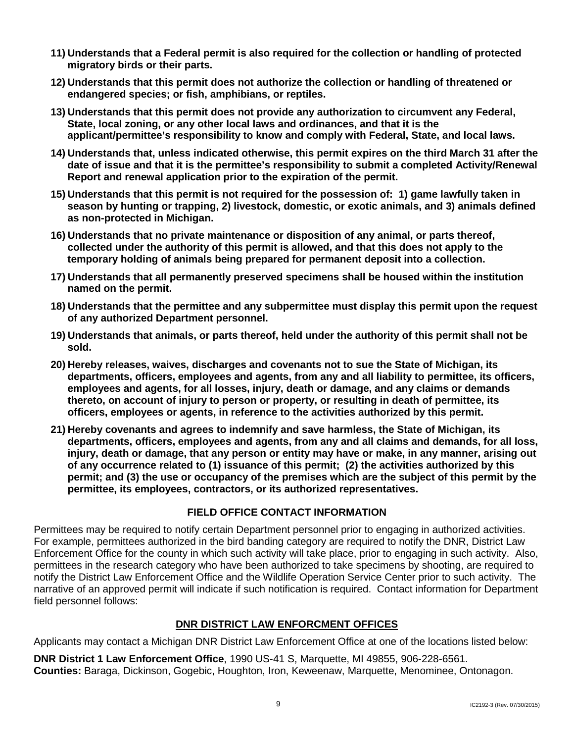- **11) Understands that a Federal permit is also required for the collection or handling of protected migratory birds or their parts.**
- **12) Understands that this permit does not authorize the collection or handling of threatened or endangered species; or fish, amphibians, or reptiles.**
- **13) Understands that this permit does not provide any authorization to circumvent any Federal, State, local zoning, or any other local laws and ordinances, and that it is the applicant/permittee's responsibility to know and comply with Federal, State, and local laws.**
- **14) Understands that, unless indicated otherwise, this permit expires on the third March 31 after the date of issue and that it is the permittee's responsibility to submit a completed Activity/Renewal Report and renewal application prior to the expiration of the permit.**
- **15) Understands that this permit is not required for the possession of: 1) game lawfully taken in season by hunting or trapping, 2) livestock, domestic, or exotic animals, and 3) animals defined as non-protected in Michigan.**
- **16) Understands that no private maintenance or disposition of any animal, or parts thereof, collected under the authority of this permit is allowed, and that this does not apply to the temporary holding of animals being prepared for permanent deposit into a collection.**
- **17) Understands that all permanently preserved specimens shall be housed within the institution named on the permit.**
- **18) Understands that the permittee and any subpermittee must display this permit upon the request of any authorized Department personnel.**
- **19) Understands that animals, or parts thereof, held under the authority of this permit shall not be sold.**
- **20) Hereby releases, waives, discharges and covenants not to sue the State of Michigan, its departments, officers, employees and agents, from any and all liability to permittee, its officers, employees and agents, for all losses, injury, death or damage, and any claims or demands thereto, on account of injury to person or property, or resulting in death of permittee, its officers, employees or agents, in reference to the activities authorized by this permit.**
- **21) Hereby covenants and agrees to indemnify and save harmless, the State of Michigan, its departments, officers, employees and agents, from any and all claims and demands, for all loss, injury, death or damage, that any person or entity may have or make, in any manner, arising out of any occurrence related to (1) issuance of this permit; (2) the activities authorized by this permit; and (3) the use or occupancy of the premises which are the subject of this permit by the permittee, its employees, contractors, or its authorized representatives.**

# **FIELD OFFICE CONTACT INFORMATION**

Permittees may be required to notify certain Department personnel prior to engaging in authorized activities. For example, permittees authorized in the bird banding category are required to notify the DNR, District Law Enforcement Office for the county in which such activity will take place, prior to engaging in such activity. Also, permittees in the research category who have been authorized to take specimens by shooting, are required to notify the District Law Enforcement Office and the Wildlife Operation Service Center prior to such activity. The narrative of an approved permit will indicate if such notification is required. Contact information for Department field personnel follows:

# **DNR DISTRICT LAW ENFORCMENT OFFICES**

Applicants may contact a Michigan DNR District Law Enforcement Office at one of the locations listed below:

**DNR District 1 Law Enforcement Office**, 1990 US-41 S, Marquette, MI 49855, 906-228-6561. **Counties:** Baraga, Dickinson, Gogebic, Houghton, Iron, Keweenaw, Marquette, Menominee, Ontonagon.